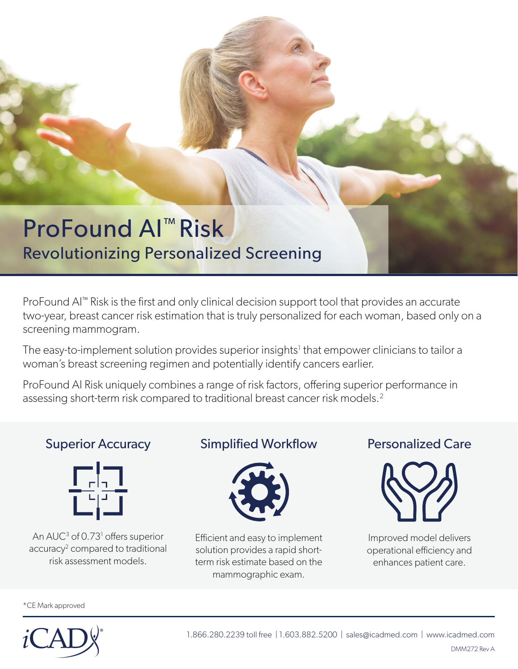## ProFound AI™ Risk Revolutionizing Personalized Screening

 $ProFound$  AI $<sup>m</sup>$  Risk is the first and only clinical decision support tool that provides an accurate</sup> two-year, breast cancer risk estimation that is truly personalized for each woman, based only on a screening mammogram.

The easy-to-implement solution provides superior insights<sup>1</sup> that empower clinicians to tailor a woman's breast screening regimen and potentially identify cancers earlier.

ProFound AI Risk uniquely combines a range of risk factors, offering superior performance in assessing short-term risk compared to traditional breast cancer risk models.<sup>2</sup>

#### Superior Accuracy



An AUC<sup>3</sup> of 0.73<sup>1</sup> offers superior accuracy<sup>2</sup> compared to traditional risk assessment models.

#### **Simplified Workflow**



Efficient and easy to implement solution provides a rapid shortterm risk estimate based on the mammographic exam.

#### Personalized Care



Improved model delivers operational efficiency and enhances patient care.

\*CE Mark approved



1.866.280.2239 toll free | 1.603.882.5200 | sales@icadmed.com | www.icadmed.com DMM272 Rev A